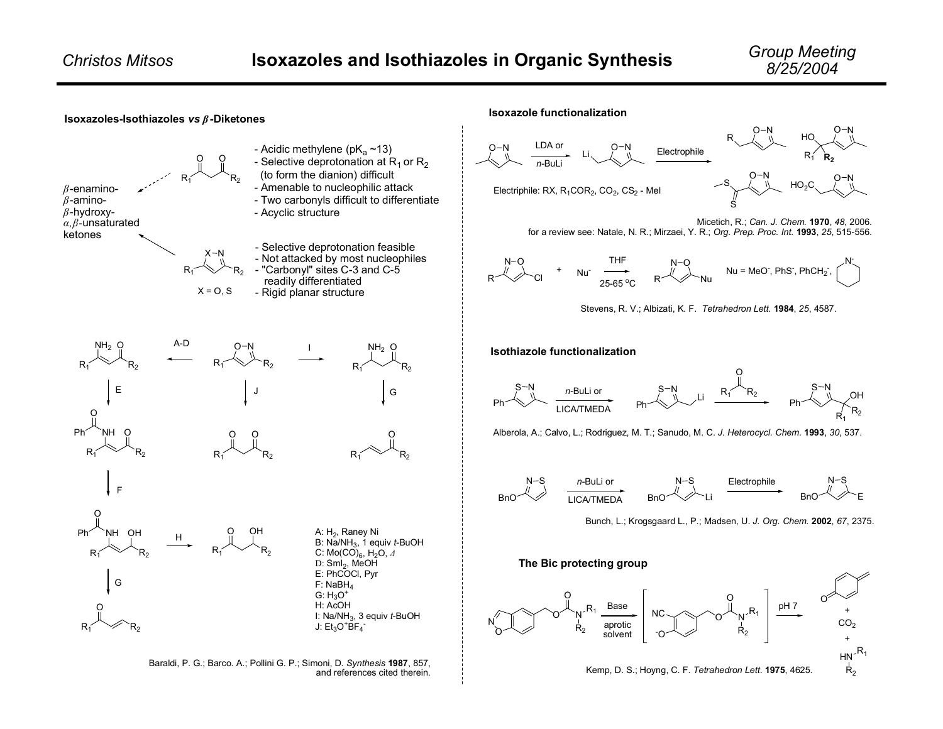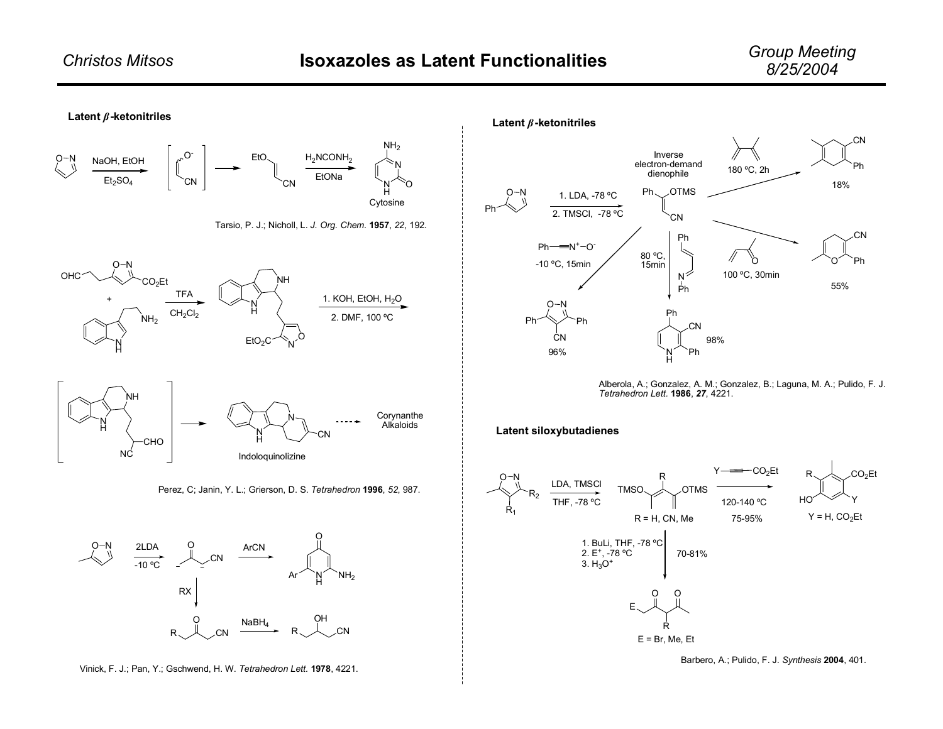





Alberola, A.; Gonzalez, A. M.; Gonzalez, B.; Laguna, M. A.; Pulido, F. J. *Tetrahedron Lett.* **1986**, *27*, 4221.

## **Latent siloxybutadienes**



Barbero, A.; Pulido, F. J. *Synthesis* **2004**, 401.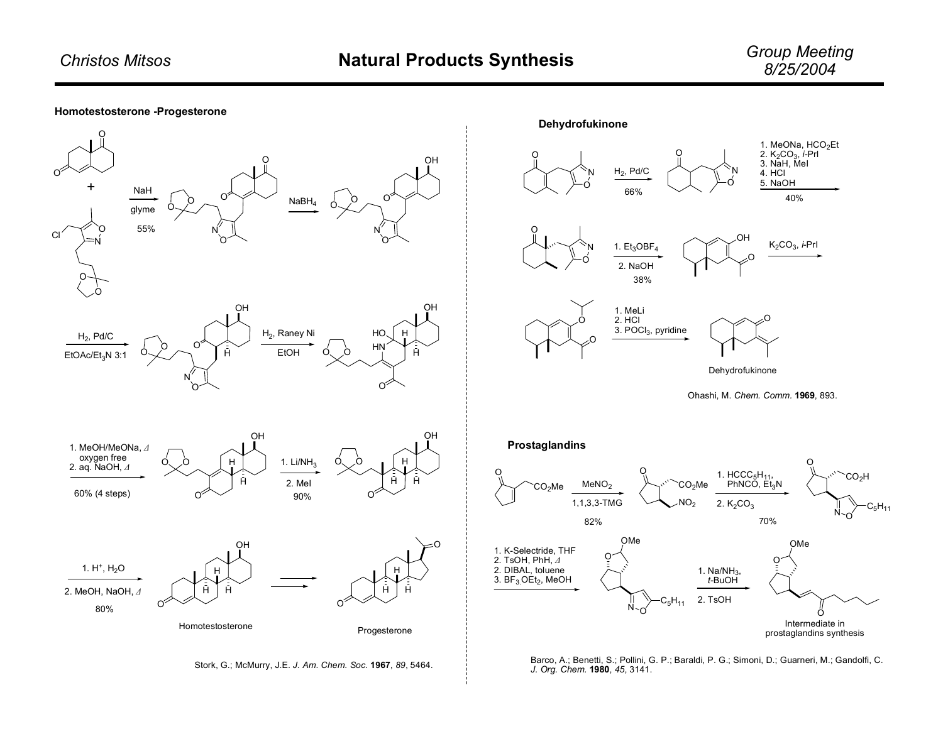## **Homotestosterone -Progesterone**







2. TsOH

O Intermediate in prostaglandins synthesis

N"0  $\rm{C_5H_{11}}$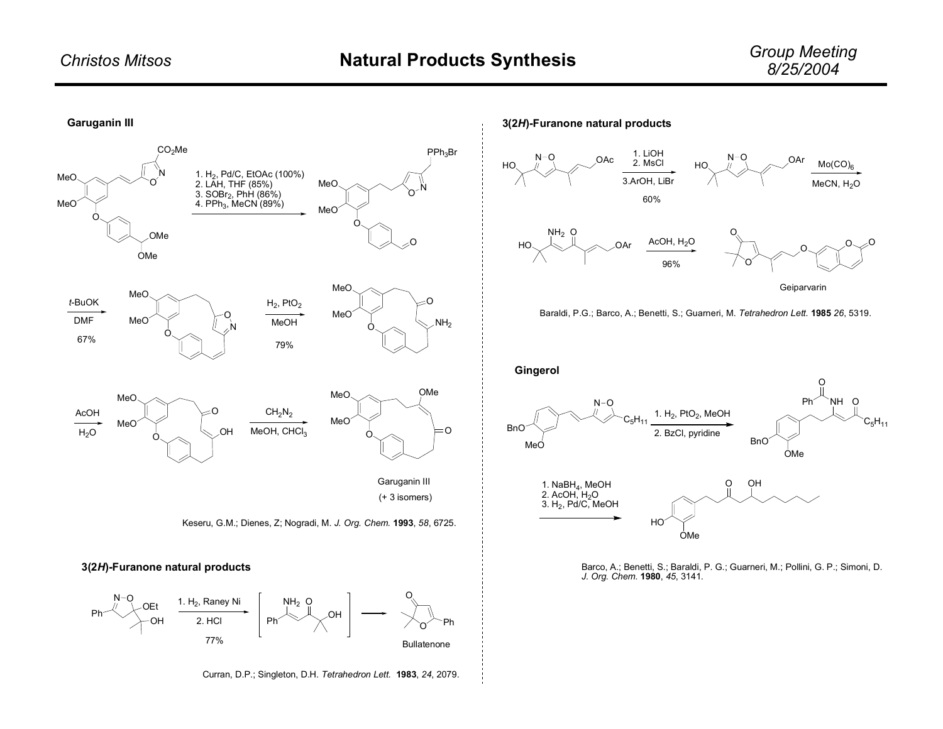

Curran, D.P.; Singleton, D.H. *Tetrahedron Lett.* **1983**, *24*, 2079.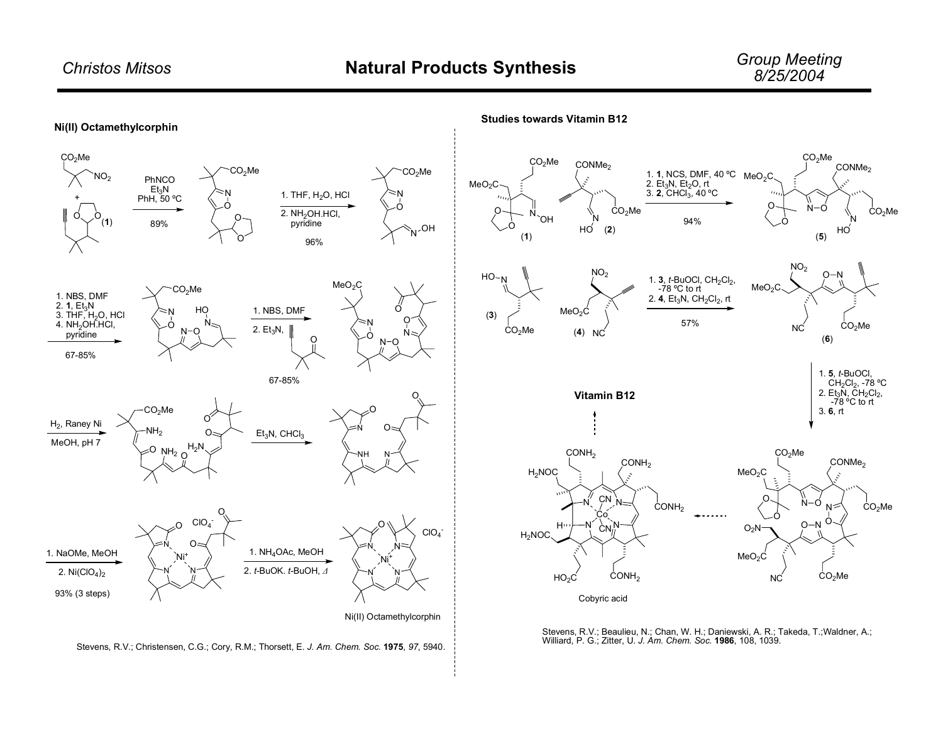

Stevens, R.V.; Christensen, C.G.; Cory, R.M.; Thorsett, E. *J. Am. Chem. Soc.* **1975**, *97*, 5940.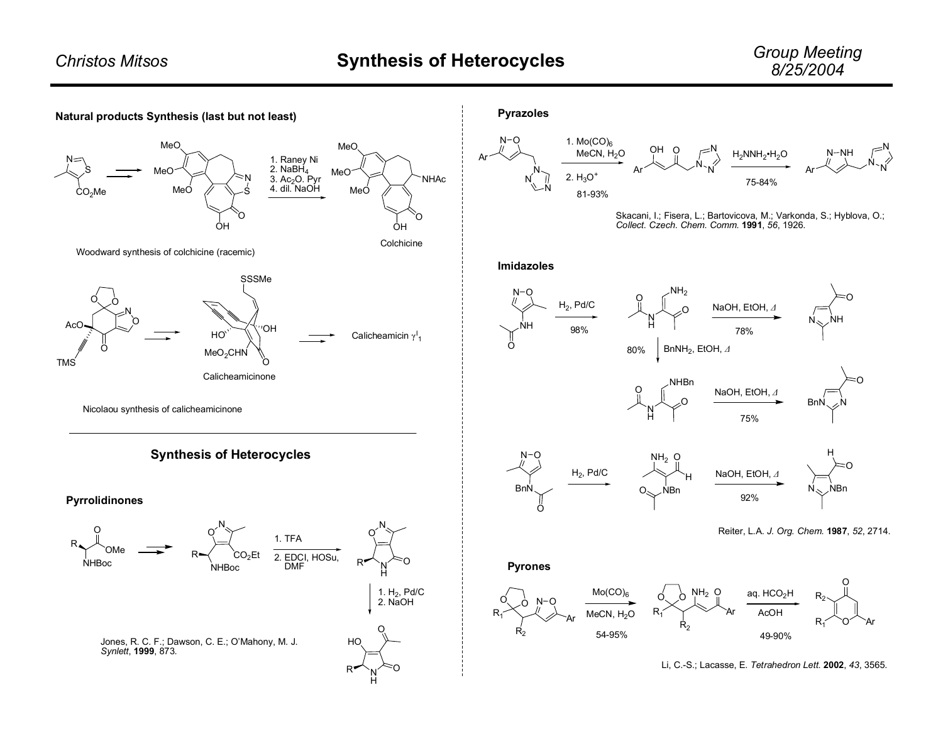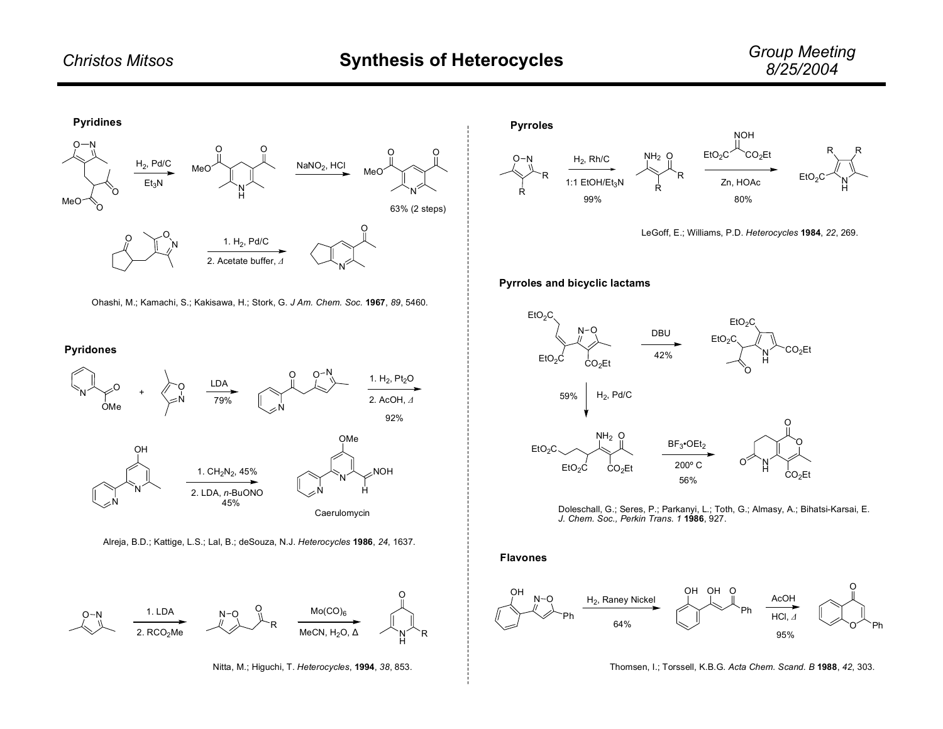

Ohashi, M.; Kamachi, S.; Kakisawa, H.; Stork, G. *J Am. Chem. Soc.* **1967**, *89*, 5460.

## **Pyridones**



Alreja, B.D.; Kattige, L.S.; Lal, B.; deSouza, N.J. *Heterocycles* **1986**, *24*, 1637.







LeGoff, E.; Williams, P.D. *Heterocycles* **1984**, *22*, 269.

## **Pyrroles and bicyclic lactams**





**Flavones**



Thomsen, I.; Torssell, K.B.G. *Acta Chem. Scand. B* **1988**, *42*, 303.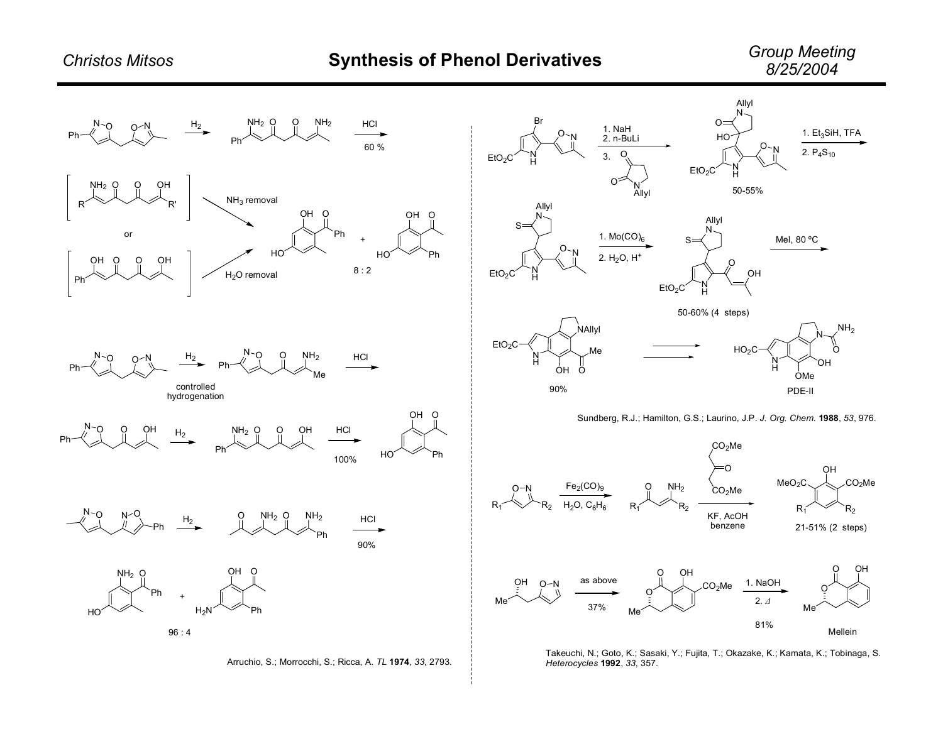

Arruchio, S.; Morrocchi, S.; Ricca, A. *TL* **1974**, *33*, 2793.